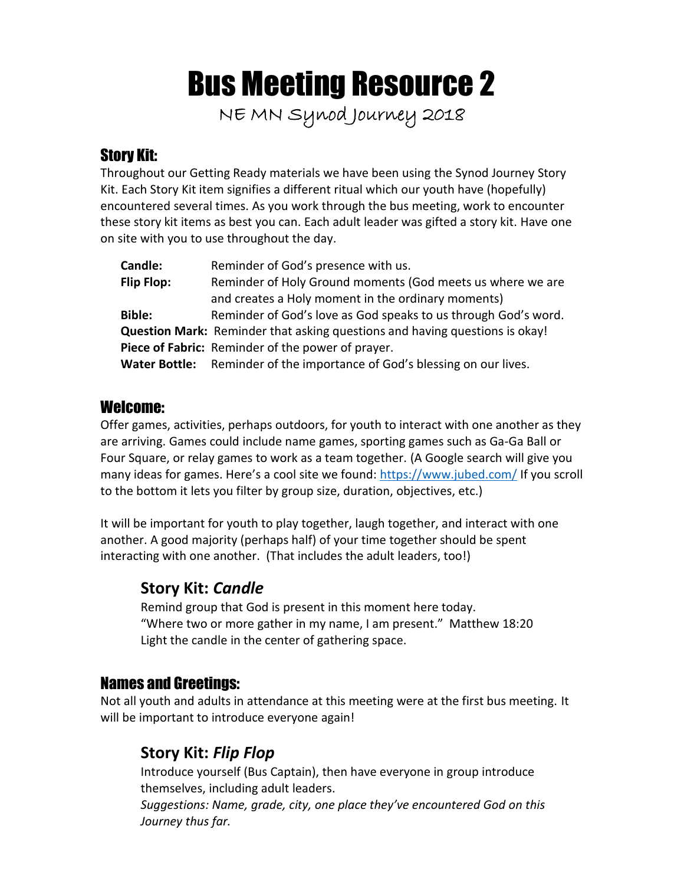# Bus Meeting Resource 2

**NE MN Synod Journey 2018**

# Story Kit:

Throughout our Getting Ready materials we have been using the Synod Journey Story Kit. Each Story Kit item signifies a different ritual which our youth have (hopefully) encountered several times. As you work through the bus meeting, work to encounter these story kit items as best you can. Each adult leader was gifted a story kit. Have one on site with you to use throughout the day.

| <b>Candle:</b> | Reminder of God's presence with us.                                                |
|----------------|------------------------------------------------------------------------------------|
| Flip Flop:     | Reminder of Holy Ground moments (God meets us where we are                         |
|                | and creates a Holy moment in the ordinary moments)                                 |
| <b>Bible:</b>  | Reminder of God's love as God speaks to us through God's word.                     |
|                | <b>Question Mark:</b> Reminder that asking questions and having questions is okay! |
|                | Piece of Fabric: Reminder of the power of prayer.                                  |
|                | <b>Water Bottle:</b> Reminder of the importance of God's blessing on our lives.    |

# Welcome:

Offer games, activities, perhaps outdoors, for youth to interact with one another as they are arriving. Games could include name games, sporting games such as Ga-Ga Ball or Four Square, or relay games to work as a team together. (A Google search will give you many ideas for games. Here's a cool site we found: https://www.jubed.com/ If you scroll to the bottom it lets you filter by group size, duration, objectives, etc.)

It will be important for youth to play together, laugh together, and interact with one another. A good majority (perhaps half) of your time together should be spent interacting with one another. (That includes the adult leaders, too!)

# **Story Kit:** *Candle*

Remind group that God is present in this moment here today. "Where two or more gather in my name, I am present." Matthew 18:20 Light the candle in the center of gathering space.

# Names and Greetings:

Not all youth and adults in attendance at this meeting were at the first bus meeting. It will be important to introduce everyone again!

# **Story Kit:** *Flip Flop*

Introduce yourself (Bus Captain), then have everyone in group introduce themselves, including adult leaders.

*Suggestions: Name, grade, city, one place they've encountered God on this Journey thus far.*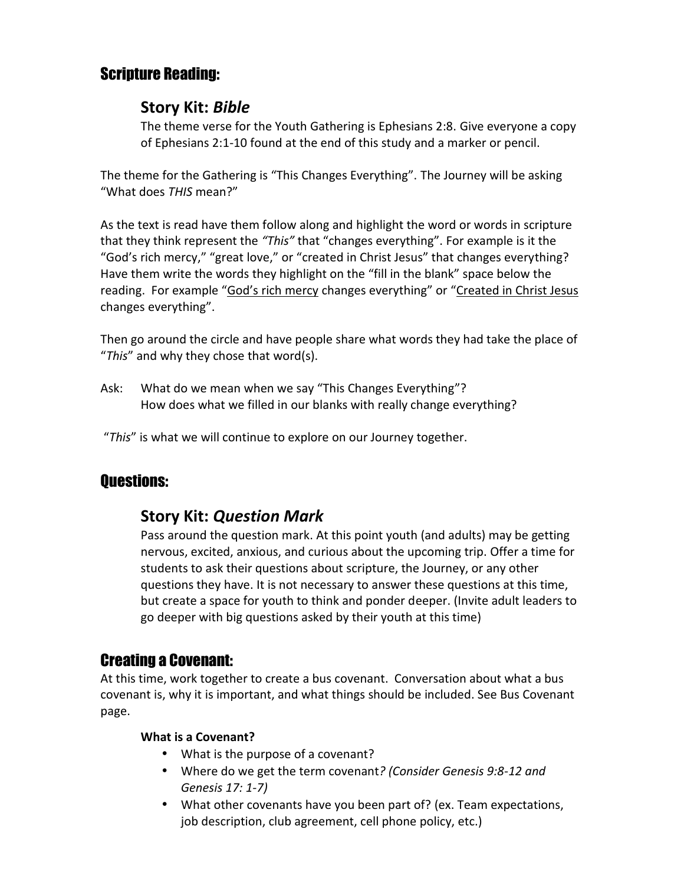# Scripture Reading:

### **Story Kit:** *Bible*

The theme verse for the Youth Gathering is Ephesians 2:8. Give everyone a copy of Ephesians 2:1-10 found at the end of this study and a marker or pencil.

The theme for the Gathering is "This Changes Everything". The Journey will be asking "What does *THIS* mean?"

As the text is read have them follow along and highlight the word or words in scripture that they think represent the *"This"* that "changes everything". For example is it the "God's rich mercy," "great love," or "created in Christ Jesus" that changes everything? Have them write the words they highlight on the "fill in the blank" space below the reading. For example "God's rich mercy changes everything" or "Created in Christ Jesus changes everything".

Then go around the circle and have people share what words they had take the place of "*This*" and why they chose that word(s).

Ask: What do we mean when we say "This Changes Everything"? How does what we filled in our blanks with really change everything?

"*This*" is what we will continue to explore on our Journey together.

# Questions:

# **Story Kit:** *Question Mark*

Pass around the question mark. At this point youth (and adults) may be getting nervous, excited, anxious, and curious about the upcoming trip. Offer a time for students to ask their questions about scripture, the Journey, or any other questions they have. It is not necessary to answer these questions at this time, but create a space for youth to think and ponder deeper. (Invite adult leaders to go deeper with big questions asked by their youth at this time)

# Creating a Covenant:

At this time, work together to create a bus covenant. Conversation about what a bus covenant is, why it is important, and what things should be included. See Bus Covenant page.

#### **What is a Covenant?**

- What is the purpose of a covenant?
- Where do we get the term covenant*? (Consider Genesis 9:8-12 and Genesis 17: 1-7)*
- What other covenants have you been part of? (ex. Team expectations, job description, club agreement, cell phone policy, etc.)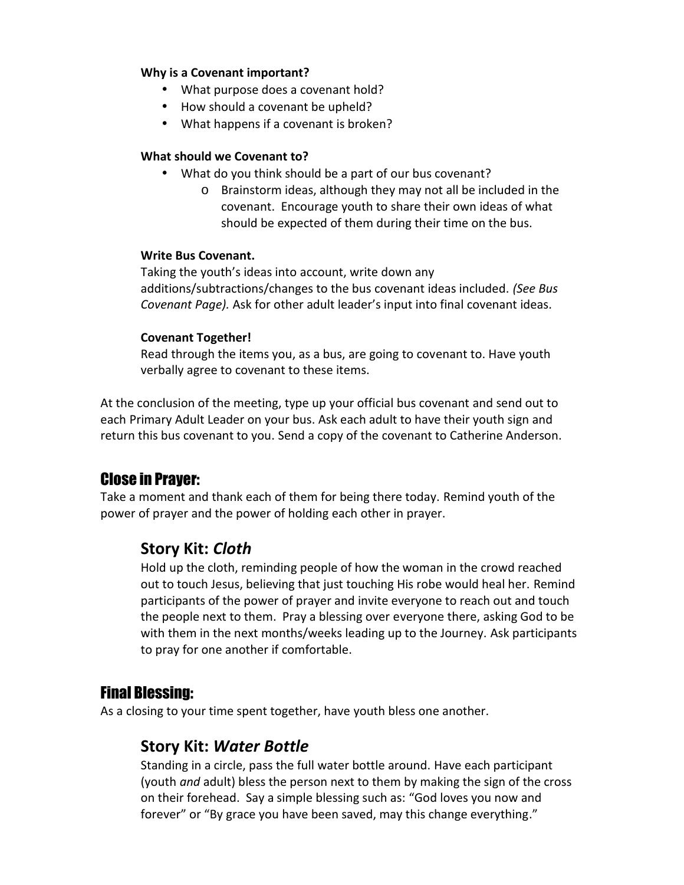#### **Why is a Covenant important?**

- What purpose does a covenant hold?
- How should a covenant be upheld?
- What happens if a covenant is broken?

#### **What should we Covenant to?**

- What do you think should be a part of our bus covenant?
	- o Brainstorm ideas, although they may not all be included in the covenant. Encourage youth to share their own ideas of what should be expected of them during their time on the bus.

#### **Write Bus Covenant.**

Taking the youth's ideas into account, write down any additions/subtractions/changes to the bus covenant ideas included. *(See Bus Covenant Page).* Ask for other adult leader's input into final covenant ideas.

#### **Covenant Together!**

Read through the items you, as a bus, are going to covenant to. Have youth verbally agree to covenant to these items.

At the conclusion of the meeting, type up your official bus covenant and send out to each Primary Adult Leader on your bus. Ask each adult to have their youth sign and return this bus covenant to you. Send a copy of the covenant to Catherine Anderson.

# Close in Prayer:

Take a moment and thank each of them for being there today. Remind youth of the power of prayer and the power of holding each other in prayer.

# **Story Kit:** *Cloth*

Hold up the cloth, reminding people of how the woman in the crowd reached out to touch Jesus, believing that just touching His robe would heal her. Remind participants of the power of prayer and invite everyone to reach out and touch the people next to them. Pray a blessing over everyone there, asking God to be with them in the next months/weeks leading up to the Journey. Ask participants to pray for one another if comfortable.

# Final Blessing:

As a closing to your time spent together, have youth bless one another.

# **Story Kit:** *Water Bottle*

Standing in a circle, pass the full water bottle around. Have each participant (youth *and* adult) bless the person next to them by making the sign of the cross on their forehead. Say a simple blessing such as: "God loves you now and forever" or "By grace you have been saved, may this change everything."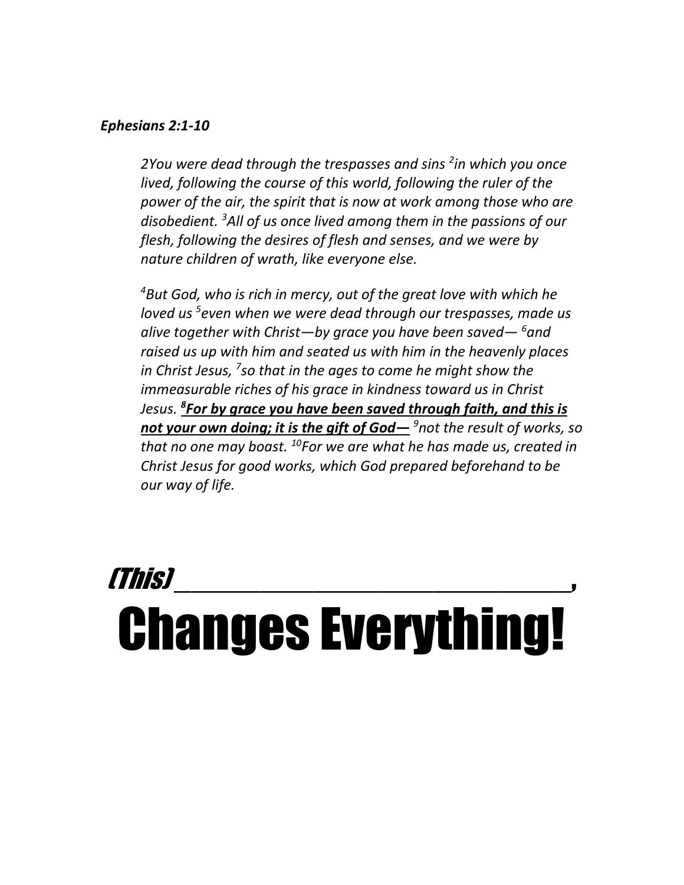#### *Ephesians 2:1-10*

*2You were dead through the trespasses and sins <sup>2</sup> in which you once lived, following the course of this world, following the ruler of the power of the air, the spirit that is now at work among those who are disobedient. <sup>3</sup>All of us once lived among them in the passions of our flesh, following the desires of flesh and senses, and we were by nature children of wrath, like everyone else.*

*<sup>4</sup>But God, who is rich in mercy, out of the great love with which he loved us <sup>5</sup>even when we were dead through our trespasses, made us alive together with Christ—by grace you have been saved— <sup>6</sup>and raised us up with him and seated us with him in the heavenly places in Christ Jesus, <sup>7</sup>so that in the ages to come he might show the immeasurable riches of his grace in kindness toward us in Christ Jesus. <sup>8</sup>For by grace you have been saved through faith, and this is not your own doing; it is the gift of God— <sup>9</sup>not the result of works, so that no one may boast. <sup>10</sup>For we are what he has made us, created in Christ Jesus for good works, which God prepared beforehand to be our way of life.*

# *(This)* \_\_\_\_\_\_\_\_\_\_\_\_\_\_\_\_\_\_\_\_\_\_\_, Changes Everything!